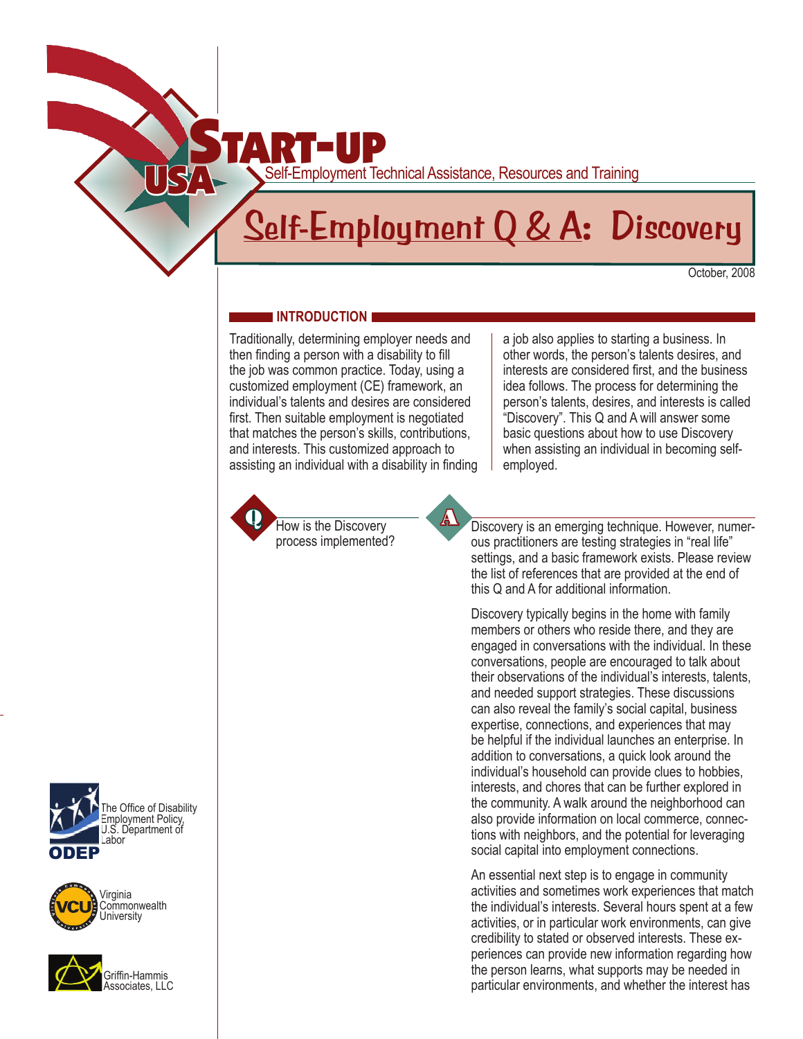

## **Self-Employment Q & A: Discovery**

October, 2008

## **INTRODUCTION**

Traditionally, determining employer needs and then finding a person with a disability to fill the job was common practice. Today, using a customized employment (CE) framework, an individual's talents and desires are considered first. Then suitable employment is negotiated that matches the person's skills, contributions, and interests. This customized approach to assisting an individual with a disability in finding

How is the Discovery process implemented? Discovery is an emerging technique. However, numerous practitioners are testing strategies in "real life" settings, and a basic framework exists. Please review the list of references that are provided at the end of

a job also applies to starting a business. In other words, the person's talents desires, and interests are considered first, and the business idea follows. The process for determining the person's talents, desires, and interests is called "Discovery". This Q and A will answer some basic questions about how to use Discovery when assisting an individual in becoming self-

this Q and A for additional information.

employed.

Discovery typically begins in the home with family members or others who reside there, and they are engaged in conversations with the individual. In these conversations, people are encouraged to talk about their observations of the individual's interests, talents, and needed support strategies. These discussions can also reveal the family's social capital, business expertise, connections, and experiences that may be helpful if the individual launches an enterprise. In addition to conversations, a quick look around the individual's household can provide clues to hobbies, interests, and chores that can be further explored in the community. A walk around the neighborhood can also provide information on local commerce, connections with neighbors, and the potential for leveraging social capital into employment connections.

An essential next step is to engage in community activities and sometimes work experiences that match the individual's interests. Several hours spent at a few activities, or in particular work environments, can give credibility to stated or observed interests. These experiences can provide new information regarding how the person learns, what supports may be needed in particular environments, and whether the interest has





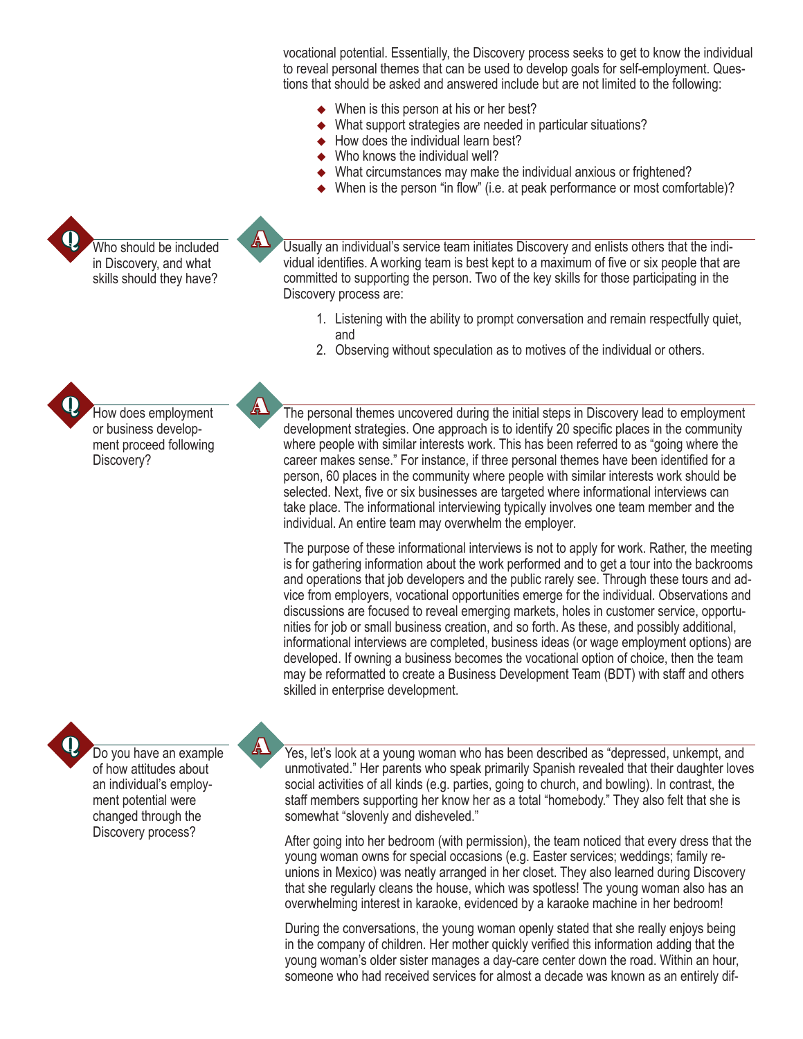vocational potential. Essentially, the Discovery process seeks to get to know the individual to reveal personal themes that can be used to develop goals for self-employment. Questions that should be asked and answered include but are not limited to the following:

- ◆ When is this person at his or her best?
- What support strategies are needed in particular situations?
- $\blacklozenge$  How does the individual learn best?
- ◆ Who knows the individual well?
- What circumstances may make the individual anxious or frightened?
- ◆ When is the person "in flow" (i.e. at peak performance or most comfortable)?

Usually an individual's service team initiates Discovery and enlists others that the individual identifies. A working team is best kept to a maximum of five or six people that are committed to supporting the person. Two of the key skills for those participating in the Discovery process are:

- 1. Listening with the ability to prompt conversation and remain respectfully quiet, and
- 2. Observing without speculation as to motives of the individual or others.

How does employment or business development proceed following Discovery?

Who should be included in Discovery, and what skills should they have?

> The personal themes uncovered during the initial steps in Discovery lead to employment development strategies. One approach is to identify 20 specific places in the community where people with similar interests work. This has been referred to as "going where the career makes sense." For instance, if three personal themes have been identified for a person, 60 places in the community where people with similar interests work should be selected. Next, five or six businesses are targeted where informational interviews can take place. The informational interviewing typically involves one team member and the individual. An entire team may overwhelm the employer.

The purpose of these informational interviews is not to apply for work. Rather, the meeting is for gathering information about the work performed and to get a tour into the backrooms and operations that job developers and the public rarely see. Through these tours and advice from employers, vocational opportunities emerge for the individual. Observations and discussions are focused to reveal emerging markets, holes in customer service, opportunities for job or small business creation, and so forth. As these, and possibly additional, informational interviews are completed, business ideas (or wage employment options) are developed. If owning a business becomes the vocational option of choice, then the team may be reformatted to create a Business Development Team (BDT) with staff and others skilled in enterprise development.



Do you have an example of how attitudes about an individual's employment potential were changed through the Discovery process?

Yes, let's look at a young woman who has been described as "depressed, unkempt, and unmotivated." Her parents who speak primarily Spanish revealed that their daughter loves social activities of all kinds (e.g. parties, going to church, and bowling). In contrast, the staff members supporting her know her as a total "homebody." They also felt that she is somewhat "slovenly and disheveled."

After going into her bedroom (with permission), the team noticed that every dress that the young woman owns for special occasions (e.g. Easter services; weddings; family reunions in Mexico) was neatly arranged in her closet. They also learned during Discovery that she regularly cleans the house, which was spotless! The young woman also has an overwhelming interest in karaoke, evidenced by a karaoke machine in her bedroom!

During the conversations, the young woman openly stated that she really enjoys being in the company of children. Her mother quickly verified this information adding that the young woman's older sister manages a day-care center down the road. Within an hour, someone who had received services for almost a decade was known as an entirely dif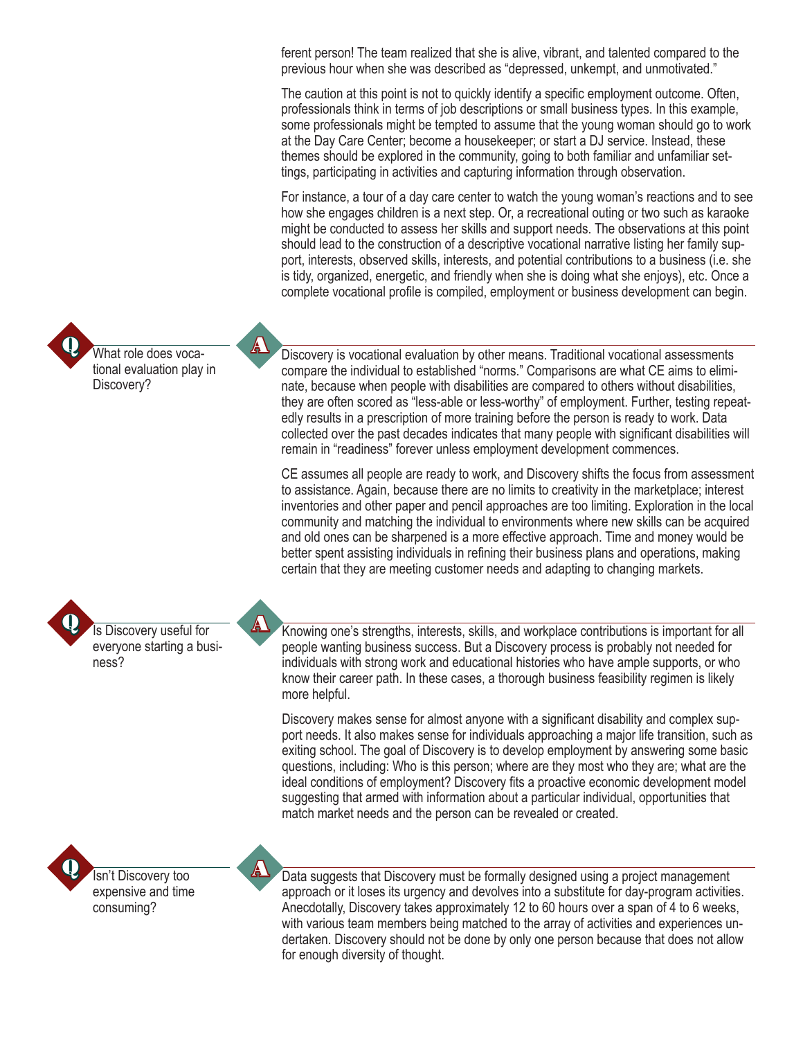ferent person! The team realized that she is alive, vibrant, and talented compared to the previous hour when she was described as "depressed, unkempt, and unmotivated."

The caution at this point is not to quickly identify a specific employment outcome. Often, professionals think in terms of job descriptions or small business types. In this example, some professionals might be tempted to assume that the young woman should go to work at the Day Care Center; become a housekeeper; or start a DJ service. Instead, these themes should be explored in the community, going to both familiar and unfamiliar settings, participating in activities and capturing information through observation.

For instance, a tour of a day care center to watch the young woman's reactions and to see how she engages children is a next step. Or, a recreational outing or two such as karaoke might be conducted to assess her skills and support needs. The observations at this point should lead to the construction of a descriptive vocational narrative listing her family support, interests, observed skills, interests, and potential contributions to a business (i.e. she is tidy, organized, energetic, and friendly when she is doing what she enjoys), etc. Once a complete vocational profile is compiled, employment or business development can begin.

Discovery is vocational evaluation by other means. Traditional vocational assessments compare the individual to established "norms." Comparisons are what CE aims to eliminate, because when people with disabilities are compared to others without disabilities, they are often scored as "less-able or less-worthy" of employment. Further, testing repeatedly results in a prescription of more training before the person is ready to work. Data collected over the past decades indicates that many people with significant disabilities will remain in "readiness" forever unless employment development commences.

CE assumes all people are ready to work, and Discovery shifts the focus from assessment to assistance. Again, because there are no limits to creativity in the marketplace; interest inventories and other paper and pencil approaches are too limiting. Exploration in the local community and matching the individual to environments where new skills can be acquired and old ones can be sharpened is a more effective approach. Time and money would be better spent assisting individuals in refining their business plans and operations, making certain that they are meeting customer needs and adapting to changing markets.

Knowing one's strengths, interests, skills, and workplace contributions is important for all people wanting business success. But a Discovery process is probably not needed for individuals with strong work and educational histories who have ample supports, or who know their career path. In these cases, a thorough business feasibility regimen is likely more helpful.

Discovery makes sense for almost anyone with a significant disability and complex support needs. It also makes sense for individuals approaching a major life transition, such as exiting school. The goal of Discovery is to develop employment by answering some basic questions, including: Who is this person; where are they most who they are; what are the ideal conditions of employment? Discovery fits a proactive economic development model suggesting that armed with information about a particular individual, opportunities that match market needs and the person can be revealed or created.



What role does vocational evaluation play in

Is Discovery useful for everyone starting a busi-

ness?

Discovery?

Data suggests that Discovery must be formally designed using a project management approach or it loses its urgency and devolves into a substitute for day-program activities. Anecdotally, Discovery takes approximately 12 to 60 hours over a span of 4 to 6 weeks, with various team members being matched to the array of activities and experiences undertaken. Discovery should not be done by only one person because that does not allow for enough diversity of thought.